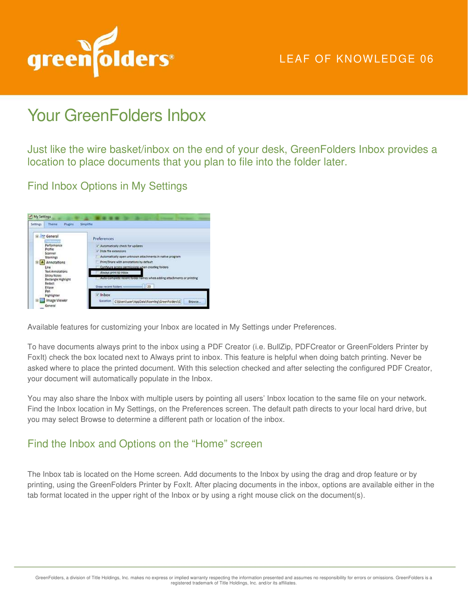

## LEAF OF KNOWLEDGE 06

# Your GreenFolders Inbox

Just like the wire basket/inbox on the end of your desk, GreenFolders Inbox provides a location to place documents that you plan to file into the folder later.

Find Inbox Options in My Settings



Available features for customizing your Inbox are located in My Settings under Preferences.

To have documents always print to the inbox using a PDF Creator (i.e. BullZip, PDFCreator or GreenFolders Printer by FoxIt) check the box located next to Always print to inbox. This feature is helpful when doing batch printing. Never be asked where to place the printed document. With this selection checked and after selecting the configured PDF Creator, your document will automatically populate in the Inbox.

You may also share the Inbox with multiple users by pointing all users' Inbox location to the same file on your network. Find the Inbox location in My Settings, on the Preferences screen. The default path directs to your local hard drive, but you may select Browse to determine a different path or location of the inbox.

## Find the Inbox and Options on the "Home" screen

The Inbox tab is located on the Home screen. Add documents to the Inbox by using the drag and drop feature or by printing, using the GreenFolders Printer by FoxIt. After placing documents in the inbox, options are available either in the tab format located in the upper right of the Inbox or by using a right mouse click on the document(s).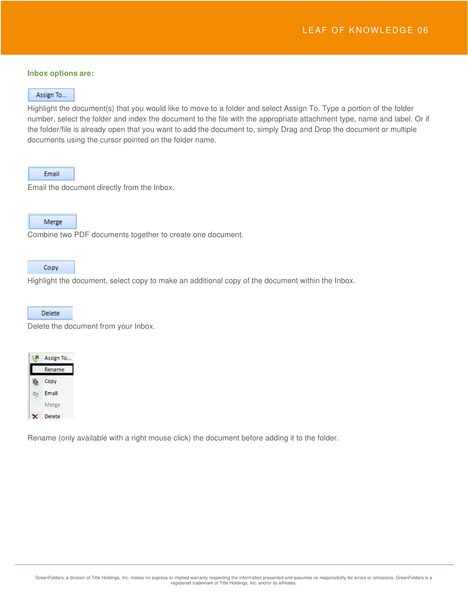#### **Inbox options are:**

#### Assign To...

Highlight the document(s) that you would like to move to a folder and select Assign To. Type a portion of the folder number, select the folder and index the document to the file with the appropriate attachment type, name and label. Or if the folder/file is already open that you want to add the document to, simply Drag and Drop the document or multiple documents using the cursor pointed on the folder name.

#### Email

Email the document directly from the Inbox.

### Merge

Combine two PDF documents together to create one document.

#### Copy

Highlight the document, select copy to make an additional copy of the document within the Inbox.

#### **Delete**

Delete the document from your Inbox.



Rename (only available with a right mouse click) the document before adding it to the folder.